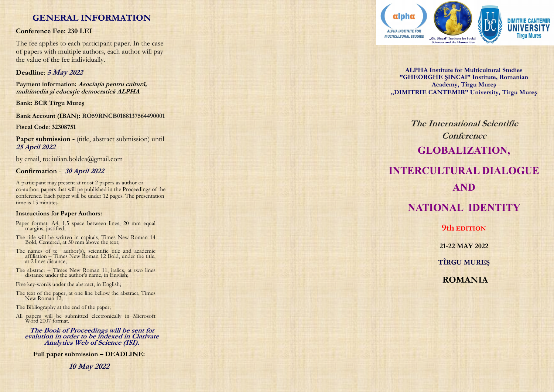# **GENERAL INFORMATION**

### **Conference Fee: 230 LEI**

The fee applies to each participant paper. In the case of papers with multiple authors, each author will pay the value of the fee individually.

# **Deadline**: **5 May <sup>2022</sup>**

**Payment information: Asociaţia pentru cultură, multimedia şi educaţie democratică ALPHA**

**Bank: BCR Tîrgu Mureş** 

**Bank Account (IBAN): RO59RNCB0188137564490001**

**Fiscal Code**: **32308751**

Paper submission - (title, abstract submission) until **25 April 2022**

by email, to: iulian.boldea@gmail.com

# **Confirmation** - **30 April 2022**

A participant may present at most 2 papers as author or co -author, papers that will pe published in the Proceedings of the conference. Each paper will be under 12 pages. The presentation time is 15 minutes.

### **Instructions for Paper Authors:**

- Paper format: A4, 1,5 space between lines, 20 mm equal margins, justified;
- The title will be written in capitals, Times New Roman 14 Bold, Centered, at 50 mm above the text;
- The names of te author(s), scientific title and academic affiliation – Times New Roman 12 Bold, under the title, at 2 lines distance;
- The abstract Times New Roman 11, italics, at two lines distance under the author's name, in English;

Five key -words under the abstract, in English;

The text of the paper, at one line bellow the abstract, Times New Roman 12;

The Bibliography at the end of the paper;

All papers will be submitted electronically in Microsoft Word 2007 format.

**The Book of Proceedings will be sent for evalution in order to be indexed in Clarivate Analytics Web of Science (ISI).**

**Full paper submission – DEADLINE:** 

**10 May 2022**



**ALPHA Institute for Multicultural Studies "GHEORGHE ŞINCAI" Institute, Romanian Academy, Tîrgu Mureş "DIMITRIE CANTEMIR" University, Tîrgu Mureş**

**The International Scientific Conference GLOBALIZATION, INTERCULTURAL DIALOGUE** 

# **AND**

# **NATIONAL IDENTITY**

**9th EDITION**

**21 -22 MAY 2022**

**TÎRGU MUREŞ**

**ROMANIA**